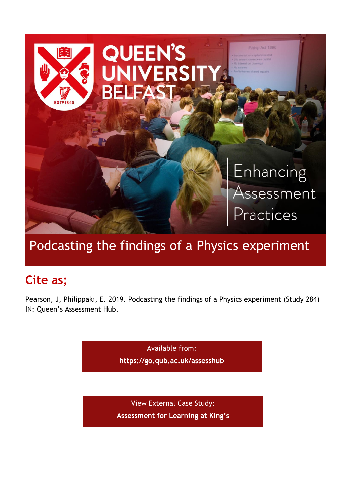

# Podcasting the findings of a Physics experiment

# **Cite as;**

Pearson, J, Philippaki, E. 2019. Podcasting the findings of a Physics experiment (Study 284) IN: Queen's Assessment Hub.

> Available from: **<https://go.qub.ac.uk/assesshub>**

View External Case Study: **[Assessment for Learning at King's](https://blogs.kcl.ac.uk/aflkings/2019/10/01/podcasting-the-findings-of-a-physics-experiment/)**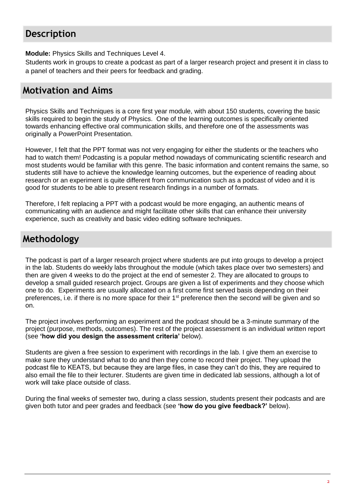# **Description**

**Module:** Physics Skills and Techniques Level 4.

Students work in groups to create a podcast as part of a larger research project and present it in class to a panel of teachers and their peers for feedback and grading.

# **Motivation and Aims**

Physics Skills and Techniques is a core first year module, with about 150 students, covering the basic skills required to begin the study of Physics. One of the learning outcomes is specifically oriented towards enhancing effective oral communication skills, and therefore one of the assessments was originally a PowerPoint Presentation.

However, I felt that the PPT format was not very engaging for either the students or the teachers who had to watch them! Podcasting is a popular method nowadays of communicating scientific research and most students would be familiar with this genre. The basic information and content remains the same, so students still have to achieve the knowledge learning outcomes, but the experience of reading about research or an experiment is quite different from communication such as a podcast of video and it is good for students to be able to present research findings in a number of formats.

Therefore, I felt replacing a PPT with a podcast would be more engaging, an authentic means of communicating with an audience and might facilitate other skills that can enhance their university experience, such as creativity and basic video editing software techniques.

# **Methodology**

The podcast is part of a larger research project where students are put into groups to develop a project in the lab. Students do weekly labs throughout the module (which takes place over two semesters) and then are given 4 weeks to do the project at the end of semester 2. They are allocated to groups to develop a small guided research project. Groups are given a list of experiments and they choose which one to do. Experiments are usually allocated on a first come first served basis depending on their preferences, i.e. if there is no more space for their 1<sup>st</sup> preference then the second will be given and so on.

The project involves performing an experiment and the podcast should be a 3-minute summary of the project (purpose, methods, outcomes). The rest of the project assessment is an individual written report (see **'how did you design the assessment criteria'** below).

Students are given a free session to experiment with recordings in the lab. I give them an exercise to make sure they understand what to do and then they come to record their project. They upload the podcast file to KEATS, but because they are large files, in case they can't do this, they are required to also email the file to their lecturer. Students are given time in dedicated lab sessions, although a lot of work will take place outside of class.

During the final weeks of semester two, during a class session, students present their podcasts and are given both tutor and peer grades and feedback (see **'how do you give feedback?'** below).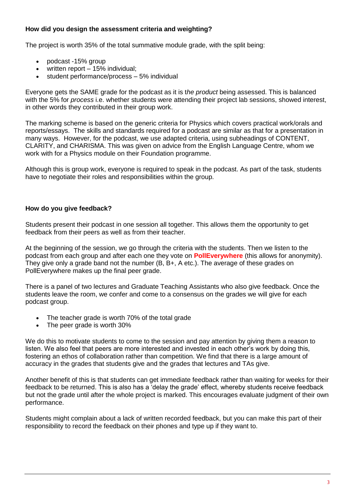### **How did you design the assessment criteria and weighting?**

The project is worth 35% of the total summative module grade, with the split being:

- podcast -15% group
- written report 15% individual;
- student performance/process 5% individual

Everyone gets the SAME grade for the podcast as it is t*he product* being assessed. This is balanced with the 5% for *process* i.e. whether students were attending their project lab sessions, showed interest, in other words they contributed in their group work.

The marking scheme is based on the generic criteria for Physics which covers practical work/orals and reports/essays. The skills and standards required for a podcast are similar as that for a presentation in many ways. However, for the podcast, we use adapted criteria, using subheadings of CONTENT, CLARITY, and CHARISMA. This was given on advice from the English Language Centre, whom we work with for a Physics module on their Foundation programme.

Although this is group work, everyone is required to speak in the podcast. As part of the task, students have to negotiate their roles and responsibilities within the group.

#### **How do you give feedback?**

Students present their podcast in one session all together. This allows them the opportunity to get feedback from their peers as well as from their teacher.

At the beginning of the session, we go through the criteria with the students. Then we listen to the podcast from each group and after each one they vote on **[PollEverywhere](https://www.polleverywhere.com/)** (this allows for anonymity). They give only a grade band not the number (B, B+, A etc.). The average of these grades on PollEverywhere makes up the final peer grade.

There is a panel of two lectures and Graduate Teaching Assistants who also give feedback. Once the students leave the room, we confer and come to a consensus on the grades we will give for each podcast group.

- The teacher grade is worth 70% of the total grade
- The peer grade is worth 30%

We do this to motivate students to come to the session and pay attention by giving them a reason to listen. We also feel that peers are more interested and invested in each other's work by doing this, fostering an ethos of collaboration rather than competition. We find that there is a large amount of accuracy in the grades that students give and the grades that lectures and TAs give.

Another benefit of this is that students can get immediate feedback rather than waiting for weeks for their feedback to be returned. This is also has a 'delay the grade' effect, whereby students receive feedback but not the grade until after the whole project is marked. This encourages evaluate judgment of their own performance.

Students might complain about a lack of written recorded feedback, but you can make this part of their responsibility to record the feedback on their phones and type up if they want to.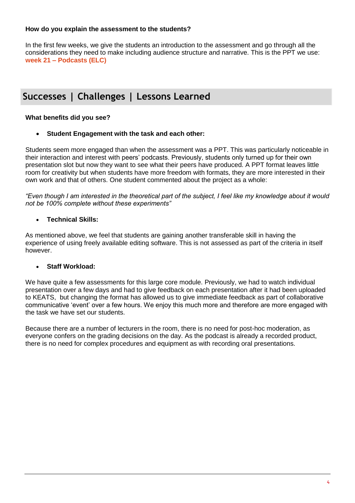#### **How do you explain the assessment to the students?**

In the first few weeks, we give the students an introduction to the assessment and go through all the considerations they need to make including audience structure and narrative. This is the PPT we use: **week 21 – [Podcasts \(ELC\)](https://blogs.kcl.ac.uk/aflkings/files/2019/10/week-21-Podcasts-ELC.pdf)**

# **Successes | Challenges | Lessons Learned**

### **What benefits did you see?**

#### **Student Engagement with the task and each other:**

Students seem more engaged than when the assessment was a PPT. This was particularly noticeable in their interaction and interest with peers' podcasts. Previously, students only turned up for their own presentation slot but now they want to see what their peers have produced. A PPT format leaves little room for creativity but when students have more freedom with formats, they are more interested in their own work and that of others. One student commented about the project as a whole:

*"Even though I am interested in the theoretical part of the subject, I feel like my knowledge about it would not be 100% complete without these experiments"*

#### **Technical Skills:**

As mentioned above, we feel that students are gaining another transferable skill in having the experience of using freely available editing software. This is not assessed as part of the criteria in itself however.

#### **Staff Workload:**

We have quite a few assessments for this large core module. Previously, we had to watch individual presentation over a few days and had to give feedback on each presentation after it had been uploaded to KEATS, but changing the format has allowed us to give immediate feedback as part of collaborative communicative 'event' over a few hours. We enjoy this much more and therefore are more engaged with the task we have set our students.

Because there are a number of lecturers in the room, there is no need for post-hoc moderation, as everyone confers on the grading decisions on the day. As the podcast is already a recorded product, there is no need for complex procedures and equipment as with recording oral presentations.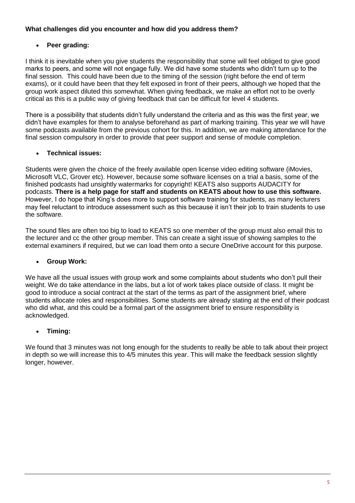### **What challenges did you encounter and how did you address them?**

## **Peer grading:**

I think it is inevitable when you give students the responsibility that some will feel obliged to give good marks to peers, and some will not engage fully. We did have some students who didn't turn up to the final session. This could have been due to the timing of the session (right before the end of term exams), or it could have been that they felt exposed in front of their peers, although we hoped that the group work aspect diluted this somewhat. When giving feedback, we make an effort not to be overly critical as this is a public way of giving feedback that can be difficult for level 4 students.

There is a possibility that students didn't fully understand the criteria and as this was the first year, we didn't have examples for them to analyse beforehand as part of marking training. This year we will have some podcasts available from the previous cohort for this. In addition, we are making attendance for the final session compulsory in order to provide that peer support and sense of module completion.

### **Technical issues:**

Students were given the choice of the freely available open license video editing software (iMovies, Microsoft VLC, Grover etc). However, because some software licenses on a trial a basis, some of the finished podcasts had unsightly watermarks for copyright! KEATS also supports AUDACITY for podcasts. **There is a help page for staff and students on KEATS about how to use this software.**  However, I do hope that King's does more to support software training for students, as many lecturers may feel reluctant to introduce assessment such as this because it isn't their job to train students to use the software.

The sound files are often too big to load to KEATS so one member of the group must also email this to the lecturer and cc the other group member. This can create a sight issue of showing samples to the external examiners if required, but we can load them onto a secure OneDrive account for this purpose.

### **Group Work:**

We have all the usual issues with group work and some complaints about students who don't pull their weight. We do take attendance in the labs, but a lot of work takes place outside of class. It might be good to introduce a social contract at the start of the terms as part of the assignment brief, where students allocate roles and responsibilities. Some students are already stating at the end of their podcast who did what, and this could be a formal part of the assignment brief to ensure responsibility is acknowledged.

# **Timing:**

We found that 3 minutes was not long enough for the students to really be able to talk about their project in depth so we will increase this to 4/5 minutes this year. This will make the feedback session slightly longer, however.